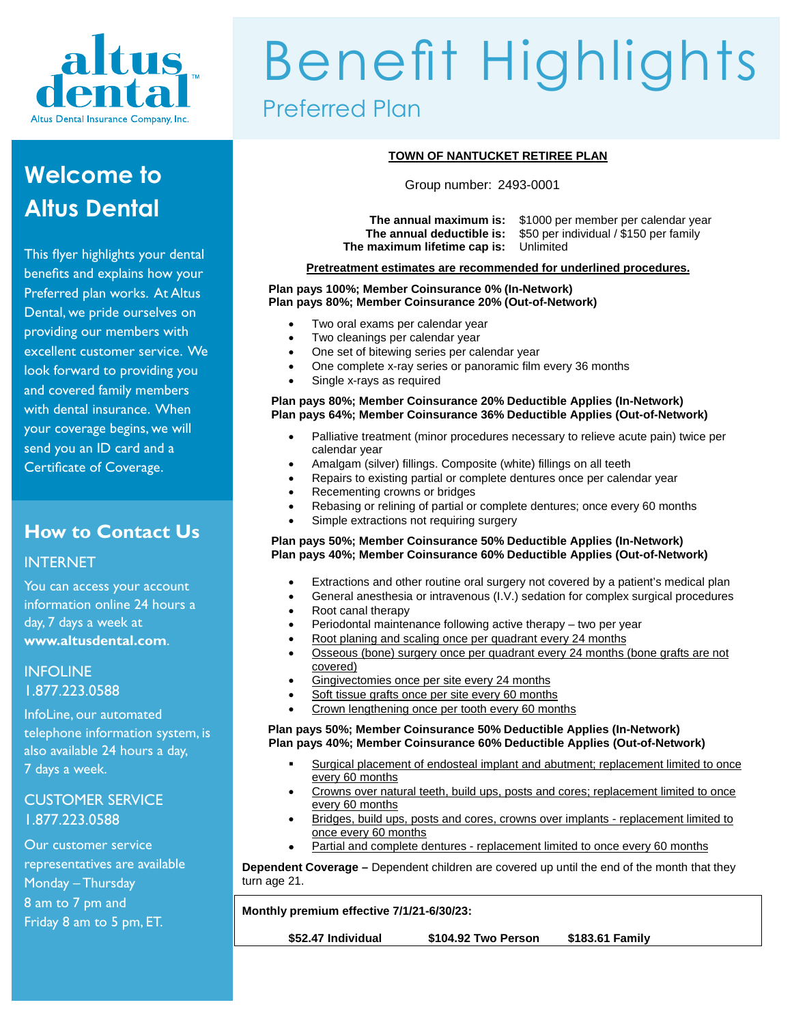

## **Welcome to Altus Dental**

This flyer highlights your dental benefits and explains how your Preferred plan works. At Altus Dental, we pride ourselves on providing our members with excellent customer service. We look forward to providing you and covered family members with dental insurance. When your coverage begins, we will send you an ID card and a Certificate of Coverage.

### **How to Contact Us**

#### INTERNET

You can access your account information online 24 hours a day, 7 days a week at **www.altusdental.com**.

INFOLINE 1.877.223.0588

InfoLine, our automated telephone information system, is also available 24 hours a day, 7 days a week.

#### CUSTOMER SERVICE 1.877.223.0588

Our customer service representatives are available Monday – Thursday 8 am to 7 pm and Friday 8 am to 5 pm, ET.

# Benefit Highlights Preferred Plan

#### **TOWN OF NANTUCKET RETIREE PLAN**

Group number: 2493-0001

**The maximum lifetime cap is:** Unlimited

**The annual maximum is:** \$1000 per member per calendar year \$50 per individual / \$150 per family

#### **Pretreatment estimates are recommended for underlined procedures.**

#### **Plan pays 100%; Member Coinsurance 0% (In-Network) Plan pays 80%; Member Coinsurance 20% (Out-of-Network)**

- Two oral exams per calendar year
- Two cleanings per calendar year
- One set of bitewing series per calendar year
- One complete x-ray series or panoramic film every 36 months
- Single x-rays as required

#### **Plan pays 80%; Member Coinsurance 20% Deductible Applies (In-Network) Plan pays 64%; Member Coinsurance 36% Deductible Applies (Out-of-Network)**

- Palliative treatment (minor procedures necessary to relieve acute pain) twice per calendar year
- Amalgam (silver) fillings. Composite (white) fillings on all teeth
- Repairs to existing partial or complete dentures once per calendar year
- Recementing crowns or bridges
- Rebasing or relining of partial or complete dentures; once every 60 months
- Simple extractions not requiring surgery

#### **Plan pays 50%; Member Coinsurance 50% Deductible Applies (In-Network) Plan pays 40%; Member Coinsurance 60% Deductible Applies (Out-of-Network)**

- Extractions and other routine oral surgery not covered by a patient's medical plan
	- General anesthesia or intravenous (I.V.) sedation for complex surgical procedures
- Root canal therapy
- Periodontal maintenance following active therapy two per year
- Root planing and scaling once per quadrant every 24 months
- Osseous (bone) surgery once per quadrant every 24 months (bone grafts are not covered)
- Gingivectomies once per site every 24 months
- Soft tissue grafts once per site every 60 months
- Crown lengthening once per tooth every 60 months

#### **Plan pays 50%; Member Coinsurance 50% Deductible Applies (In-Network) Plan pays 40%; Member Coinsurance 60% Deductible Applies (Out-of-Network)**

- Surgical placement of endosteal implant and abutment; replacement limited to once every 60 months
- Crowns over natural teeth, build ups, posts and cores; replacement limited to once every 60 months
- Bridges, build ups, posts and cores, crowns over implants replacement limited to once every 60 months
- Partial and complete dentures replacement limited to once every 60 months

**Dependent Coverage –** Dependent children are covered up until the end of the month that they turn age 21.

**Monthly premium effective 7/1/21-6/30/23:** 

**\$52.47 Individual \$104.92 Two Person \$183.61 Family**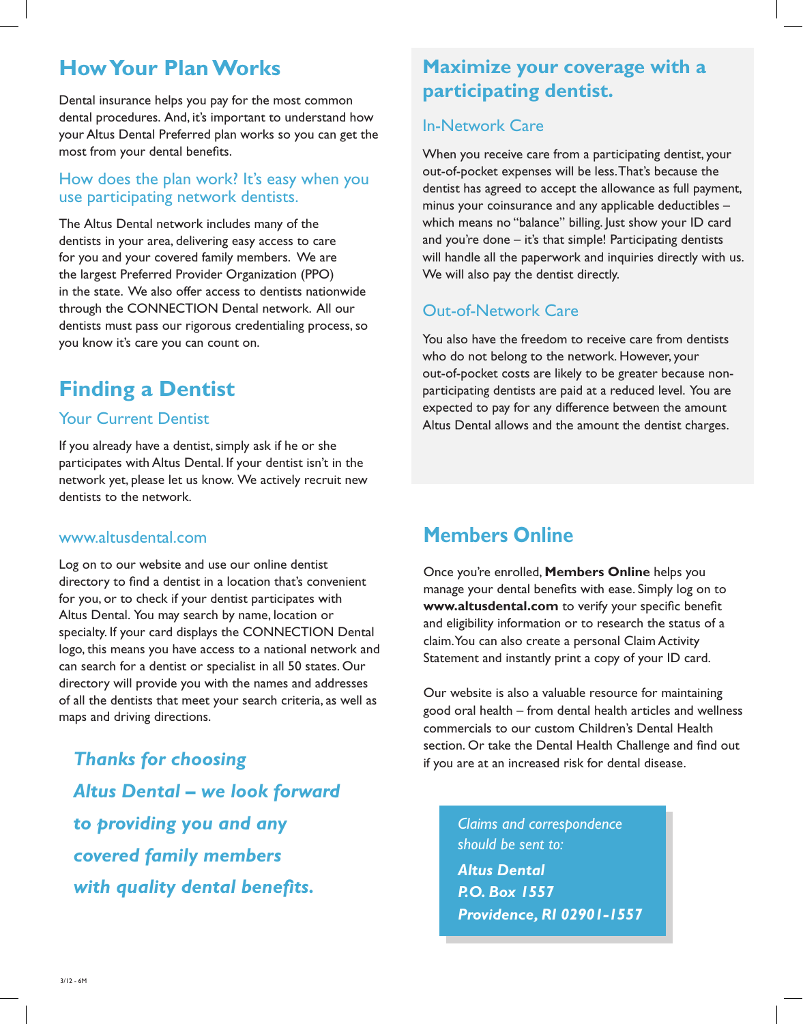### **How Your Plan Works**

Dental insurance helps you pay for the most common dental procedures. And, it's important to understand how your Altus Dental Preferred plan works so you can get the most from your dental benefits.

#### How does the plan work? It's easy when you use participating network dentists.

The Altus Dental network includes many of the dentists in your area, delivering easy access to care for you and your covered family members. We are the largest Preferred Provider Organization (PPO) in the state. We also offer access to dentists nationwide through the CONNECTION Dental network. All our dentists must pass our rigorous credentialing process, so you know it's care you can count on.

### **Finding a Dentist**

#### Your Current Dentist

If you already have a dentist, simply ask if he or she participates with Altus Dental. If your dentist isn't in the network yet, please let us know. We actively recruit new dentists to the network.

#### www.altusdental.com

Log on to our website and use our online dentist directory to find a dentist in a location that's convenient for you, or to check if your dentist participates with Altus Dental. You may search by name, location or specialty. If your card displays the CONNECTION Dental logo, this means you have access to a national network and can search for a dentist or specialist in all 50 states. Our directory will provide you with the names and addresses of all the dentists that meet your search criteria, as well as maps and driving directions.

*Thanks for choosing Altus Dental – we look forward to providing you and any covered family members with quality dental benefits.*

### **Maximize your coverage with a participating dentist.**

#### In-Network Care

When you receive care from a participating dentist, your out-of-pocket expenses will be less. That's because the dentist has agreed to accept the allowance as full payment, minus your coinsurance and any applicable deductibles – which means no "balance" billing. Just show your ID card and you're done – it's that simple! Participating dentists will handle all the paperwork and inquiries directly with us. We will also pay the dentist directly.

### Out-of-Network Care

You also have the freedom to receive care from dentists who do not belong to the network. However, your out-of-pocket costs are likely to be greater because nonparticipating dentists are paid at a reduced level. You are expected to pay for any difference between the amount Altus Dental allows and the amount the dentist charges.

### **Members Online**

Once you're enrolled, **Members Online** helps you manage your dental benefits with ease. Simply log on to **www.altusdental.com** to verify your specific benefit and eligibility information or to research the status of a claim. You can also create a personal Claim Activity Statement and instantly print a copy of your ID card.

Our website is also a valuable resource for maintaining good oral health – from dental health articles and wellness commercials to our custom Children's Dental Health section. Or take the Dental Health Challenge and find out if you are at an increased risk for dental disease.

*Claims and correspondence should be sent to: Altus Dental P.O. Box 1557 Providence, RI 02901-1557*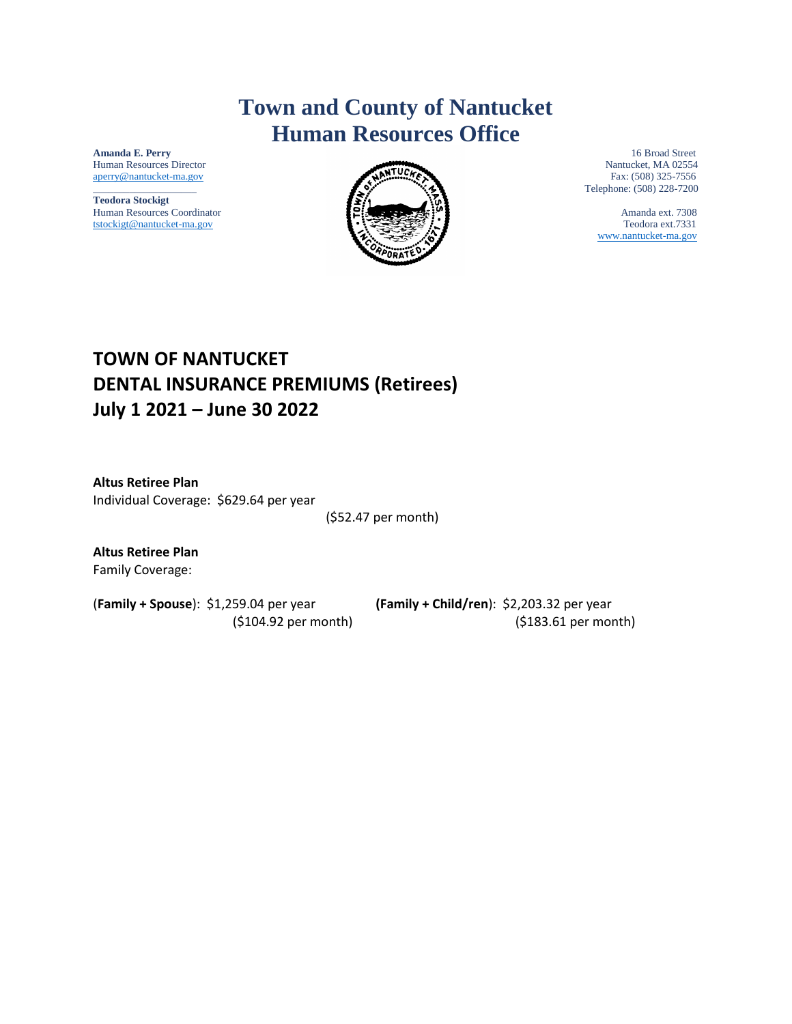### **Town and County of Nantucket Human Resources Office**

Human Resources Director Nantucket and Nantucket and Nantucket and Nantucket and Nantucket and Nantucket and Nantucket and Nantucket and Nantucket and Nantucket and Nantucket and Nantucket and Nantucket and Nantucket and N

**Teodora Stockigt**  Human Resources Coordinator **Amanda ext. 7308** [tstockigt@nantucket-ma.gov](mailto:tstockigt@nantucket-ma.gov) Teodora ext.7331



**Amanda E. Perry** 16 Broad Street<br>
Human Resources Director<br> **Amanda E. Perry** 16 Broad Street \_\_\_\_\_\_\_\_\_\_\_\_\_\_\_\_\_\_\_\_ Telephone: (508) 228-7200

[www.nantucket-ma.gov](http://www.nantucket-ma.gov/)

### **TOWN OF NANTUCKET DENTAL INSURANCE PREMIUMS (Retirees) July 1 2021 – June 30 2022**

**Altus Retiree Plan**  Individual Coverage: \$629.64 per year

(\$52.47 per month)

**Altus Retiree Plan**  Family Coverage:

(**Family + Spouse**): \$1,259.04 per year **(Family + Child/ren**): \$2,203.32 per year (\$104.92 per month) (\$183.61 per month)